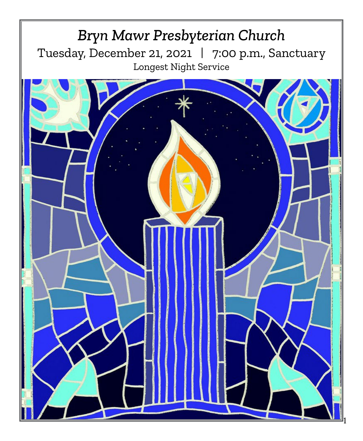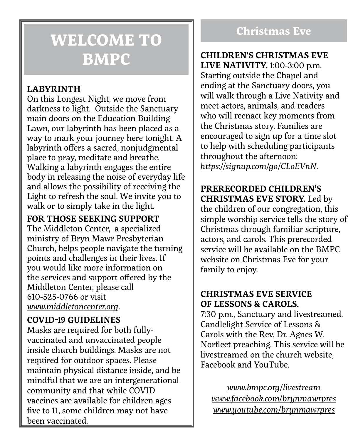# **WELCOME TO BMPC**

# **LABYRINTH**

On this Longest Night, we move from darkness to light. Outside the Sanctuary main doors on the Education Building Lawn, our labyrinth has been placed as a way to mark your journey here tonight. A labyrinth offers a sacred, nonjudgmental place to pray, meditate and breathe. Walking a labyrinth engages the entire body in releasing the noise of everyday life and allows the possibility of receiving the Light to refresh the soul. We invite you to walk or to simply take in the light.

## **FOR THOSE SEEKING SUPPORT**

The Middleton Center, a specialized ministry of Bryn Mawr Presbyterian Church, helps people navigate the turning points and challenges in their lives. If you would like more information on the services and support offered by the Middleton Center, please call 610-525-0766 or visit *[www.middletoncenter.org](http://www.middletoncenter.org)*.

# **COVID-19 GUIDELINES**

Masks are required for both fullyvaccinated and unvaccinated people inside church buildings. Masks are not required for outdoor spaces. Please maintain physical distance inside, and be mindful that we are an intergenerational community and that while COVID vaccines are available for children ages five to 11, some children may not have been vaccinated.

# **Christmas Eve**

## **CHILDREN'S CHRISTMAS EVE LIVE NATIVITY.** 1:00-3:00 p.m. Starting outside the Chapel and ending at the Sanctuary doors, you will walk through a Live Nativity and meet actors, animals, and readers who will reenact key moments from the Christmas story. Families are encouraged to sign up for a time slot to help with scheduling participants throughout the afternoon: *<https://signup.com/go/CLoEVnN>*.

## **PRERECORDED CHILDREN'S CHRISTMAS EVE STORY.** Led by

the children of our congregation, this simple worship service tells the story of Christmas through familiar scripture, actors, and carols. This prerecorded service will be available on the BMPC website on Christmas Eve for your family to enjoy.

## **CHRISTMAS EVE SERVICE OF LESSONS & CAROLS.**

7:30 p.m., Sanctuary and livestreamed. Candlelight Service of Lessons & Carols with the Rev. Dr. Agnes W. Norfleet preaching. This service will be livestreamed on the church website, Facebook and YouTube.

*[www.bmpc.org/livestream](http://www.bmpc.org/livestream) [www.facebook.com/brynmawrpres](http://www.facebook.com/brynmawrpres) [www.youtube.com/brynmawrpres](http://www.youtube.com/brynmawrpres)*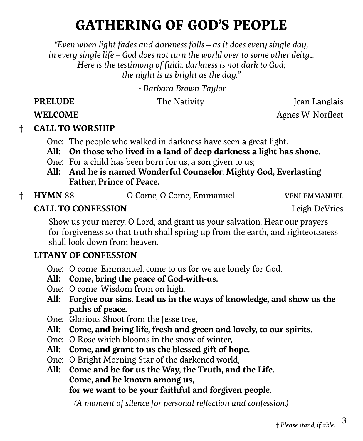# **GATHERING OF GOD'S PEOPLE**

*"Even when light fades and darkness falls – as it does every single day, in every single life – God does not turn the world over to some other deity… Here is the testimony of faith: darkness is not dark to God; the night is as bright as the day."*

*~ Barbara Brown Taylor*

**PRELUDE** The Nativity The I Jean Langlais

**WELCOME** Agnes W. Norfleet

# † **CALL TO WORSHIP**

- One: The people who walked in darkness have seen a great light.
- **All: On those who lived in a land of deep darkness a light has shone.**
- One: For a child has been born for us, a son given to us;
- **All: And he is named Wonderful Counselor, Mighty God, Everlasting Father, Prince of Peace.**
- 
- † **HYMN** 88 O Come, O Come, Emmanuel veni emmanuel

**CALL TO CONFESSION Legion DeVices Legion DeVices** 

Show us your mercy, O Lord, and grant us your salvation. Hear our prayers for forgiveness so that truth shall spring up from the earth, and righteousness shall look down from heaven.

## **LITANY OF CONFESSION**

- One: O come, Emmanuel, come to us for we are lonely for God.
- **All: Come, bring the peace of God-with-us.**
- One: O come, Wisdom from on high.
- **All: Forgive our sins. Lead us in the ways of knowledge, and show us the paths of peace.**
- One: Glorious Shoot from the Jesse tree,
- **All: Come, and bring life, fresh and green and lovely, to our spirits.**
- One: O Rose which blooms in the snow of winter,
- **All: Come, and grant to us the blessed gift of hope.**
- One: O Bright Morning Star of the darkened world,
- **All: Come and be for us the Way, the Truth, and the Life. Come, and be known among us, for we want to be your faithful and forgiven people.**

*(A moment of silence for personal reflection and confession.)*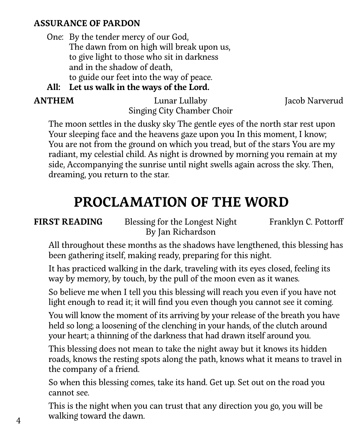## **ASSURANCE OF PARDON**

 One: By the tender mercy of our God, The dawn from on high will break upon us, to give light to those who sit in darkness and in the shadow of death, to guide our feet into the way of peace.

 **All: Let us walk in the ways of the Lord.**

**ANTHEM** Lunar Lullaby Jacob Narverud Singing City Chamber Choir

The moon settles in the dusky sky The gentle eyes of the north star rest upon Your sleeping face and the heavens gaze upon you In this moment, I know; You are not from the ground on which you tread, but of the stars You are my radiant, my celestial child. As night is drowned by morning you remain at my side, Accompanying the sunrise until night swells again across the sky. Then, dreaming, you return to the star.

# **PROCLAMATION OF THE WORD**

**FIRST READING** Blessing for the Longest Night Franklyn C. Pottorff By Jan Richardson

All throughout these months as the shadows have lengthened, this blessing has been gathering itself, making ready, preparing for this night.

It has practiced walking in the dark, traveling with its eyes closed, feeling its way by memory, by touch, by the pull of the moon even as it wanes.

So believe me when I tell you this blessing will reach you even if you have not light enough to read it; it will find you even though you cannot see it coming.

You will know the moment of its arriving by your release of the breath you have held so long; a loosening of the clenching in your hands, of the clutch around your heart; a thinning of the darkness that had drawn itself around you.

This blessing does not mean to take the night away but it knows its hidden roads, knows the resting spots along the path, knows what it means to travel in the company of a friend.

So when this blessing comes, take its hand. Get up. Set out on the road you cannot see.

This is the night when you can trust that any direction you go, you will be walking toward the dawn.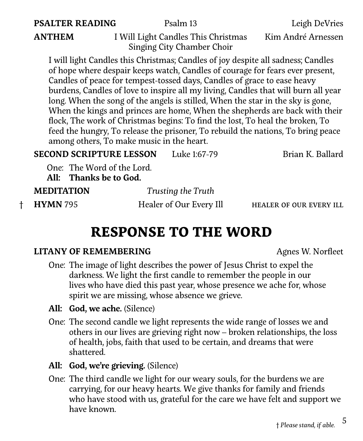### **PSALTER READING** Psalm 13 Leigh DeVries

**ANTHEM** I Will Light Candles This Christmas Kim André Arnessen Singing City Chamber Choir

I will light Candles this Christmas; Candles of joy despite all sadness; Candles of hope where despair keeps watch, Candles of courage for fears ever present, Candles of peace for tempest-tossed days, Candles of grace to ease heavy burdens, Candles of love to inspire all my living, Candles that will burn all year long. When the song of the angels is stilled, When the star in the sky is gone, When the kings and princes are home, When the shepherds are back with their flock, The work of Christmas begins: To find the lost, To heal the broken, To feed the hungry, To release the prisoner, To rebuild the nations, To bring peace among others, To make music in the heart.

| <b>SECOND SCRIPTURE LESSON</b> | Luke 1:67-79 | Brian K. Ballard |
|--------------------------------|--------------|------------------|
|--------------------------------|--------------|------------------|

One: The Word of the Lord.

 **All: Thanks be to God.**

|         | <b>MEDITATION</b> | Trusting the Truth      |                         |
|---------|-------------------|-------------------------|-------------------------|
| $+$ $-$ | <b>HYMN 795</b>   | Healer of Our Every Ill | HEALER OF OUR EVERY ILL |

# **RESPONSE TO THE WORD**

### **LITANY OF REMEMBERING** Agnes W. Norfleet

One: The image of light describes the power of Jesus Christ to expel the darkness. We light the first candle to remember the people in our lives who have died this past year, whose presence we ache for, whose spirit we are missing, whose absence we grieve.

- **All: God, we ache.** (Silence)
- One: The second candle we light represents the wide range of losses we and others in our lives are grieving right now – broken relationships, the loss of health, jobs, faith that used to be certain, and dreams that were shattered.
- All: God, we're grieving. *(Silence)*
- One: The third candle we light for our weary souls, for the burdens we are carrying, for our heavy hearts. We give thanks for family and friends who have stood with us, grateful for the care we have felt and support we have known.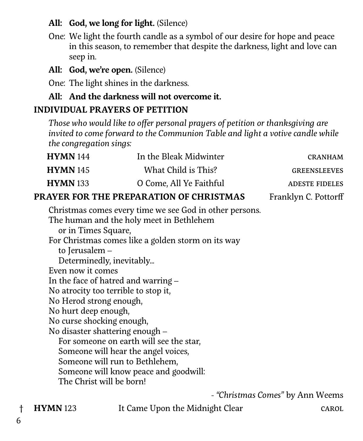# **All: God, we long for light.** (Silence)

One: We light the fourth candle as a symbol of our desire for hope and peace in this season, to remember that despite the darkness, light and love can seep in.

# **All: God, we're open.** (Silence)

One: The light shines in the darkness.

# **All: And the darkness will not overcome it.**

# **INDIVIDUAL PRAYERS OF PETITION**

*Those who would like to offer personal prayers of petition or thanksgiving are invited to come forward to the Communion Table and light a votive candle while the congregation sings:*

| CRANHAM               | In the Bleak Midwinter                  | <b>HYMN</b> 144 |
|-----------------------|-----------------------------------------|-----------------|
| <b>GREENSLEEVES</b>   | What Child is This?                     | <b>HYMN</b> 145 |
| <b>ADESTE FIDELES</b> | O Come, All Ye Faithful                 | <b>HYMN</b> 133 |
| Franklyn C. Pottorff  | PRAYER FOR THE PREPARATION OF CHRISTMAS |                 |

Christmas comes every time we see God in other persons. The human and the holy meet in Bethlehem or in Times Square, For Christmas comes like a golden storm on its way to Jerusalem – Determinedly, inevitably... Even now it comes In the face of hatred and warring – No atrocity too terrible to stop it, No Herod strong enough, No hurt deep enough, No curse shocking enough, No disaster shattering enough – For someone on earth will see the star, Someone will hear the angel voices, Someone will run to Bethlehem, Someone will know peace and goodwill: The Christ will be born!

- *"Christmas Comes"* by Ann Weems

† **HYMN** 123 It Came Upon the Midnight Clear carol

6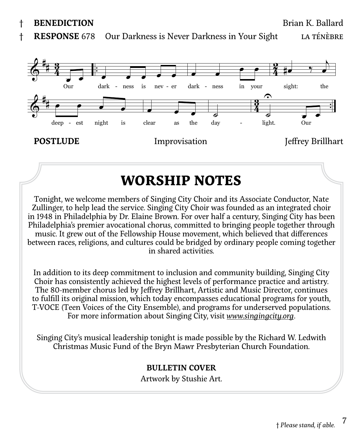† **BENEDICTION** Brian K. Ballard

† **RESPONSE** 678 Our Darkness is Never Darkness in Your Sight LA TÉNÈBRe



# **WORSHIP NOTES**

Tonight, we welcome members of Singing City Choir and its Associate Conductor, Nate Zullinger, to help lead the service. Singing City Choir was founded as an integrated choir in 1948 in Philadelphia by Dr. Elaine Brown. For over half a century, Singing City has been Philadelphia's premier avocational chorus, committed to bringing people together through music. It grew out of the Fellowship House movement, which believed that differences between races, religions, and cultures could be bridged by ordinary people coming together in shared activities.

In addition to its deep commitment to inclusion and community building, Singing City Choir has consistently achieved the highest levels of performance practice and artistry. The 80-member chorus led by Jeffrey Brillhart, Artistic and Music Director, continues to fulfill its original mission, which today encompasses educational programs for youth, T-VOCE (Teen Voices of the City Ensemble), and programs for underserved populations. For more information about Singing City, visit *www.singingcity.org*.

Singing City's musical leadership tonight is made possible by the Richard W. Ledwith Christmas Music Fund of the Bryn Mawr Presbyterian Church Foundation.

### **BULLETIN COVER**

Artwork by Stushie Art.